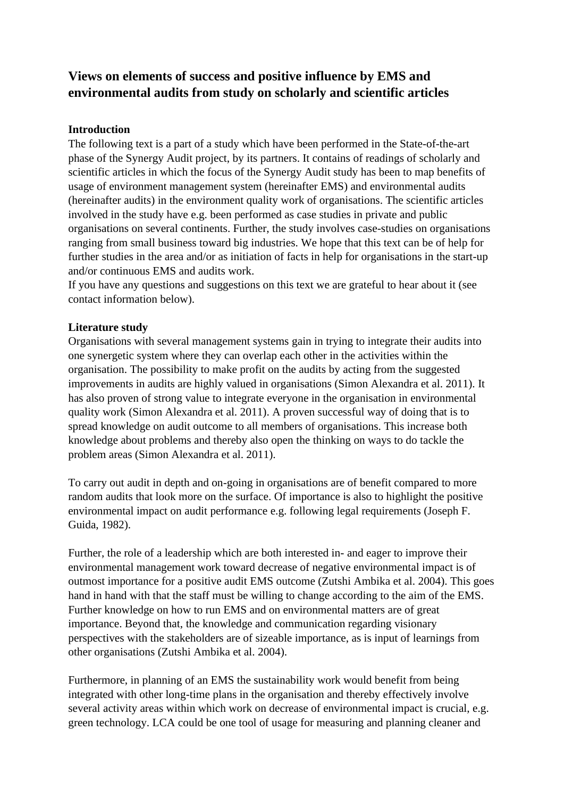# **Views on elements of success and positive influence by EMS and environmental audits from study on scholarly and scientific articles**

## **Introduction**

The following text is a part of a study which have been performed in the State-of-the-art phase of the Synergy Audit project, by its partners. It contains of readings of scholarly and scientific articles in which the focus of the Synergy Audit study has been to map benefits of usage of environment management system (hereinafter EMS) and environmental audits (hereinafter audits) in the environment quality work of organisations. The scientific articles involved in the study have e.g. been performed as case studies in private and public organisations on several continents. Further, the study involves case-studies on organisations ranging from small business toward big industries. We hope that this text can be of help for further studies in the area and/or as initiation of facts in help for organisations in the start-up and/or continuous EMS and audits work.

If you have any questions and suggestions on this text we are grateful to hear about it (see contact information below).

### **Literature study**

Organisations with several management systems gain in trying to integrate their audits into one synergetic system where they can overlap each other in the activities within the organisation. The possibility to make profit on the audits by acting from the suggested improvements in audits are highly valued in organisations (Simon Alexandra et al. 2011). It has also proven of strong value to integrate everyone in the organisation in environmental quality work (Simon Alexandra et al. 2011). A proven successful way of doing that is to spread knowledge on audit outcome to all members of organisations. This increase both knowledge about problems and thereby also open the thinking on ways to do tackle the problem areas (Simon Alexandra et al. 2011).

To carry out audit in depth and on-going in organisations are of benefit compared to more random audits that look more on the surface. Of importance is also to highlight the positive environmental impact on audit performance e.g. following legal requirements (Joseph F. Guida, 1982).

Further, the role of a leadership which are both interested in- and eager to improve their environmental management work toward decrease of negative environmental impact is of outmost importance for a positive audit EMS outcome (Zutshi Ambika et al. 2004). This goes hand in hand with that the staff must be willing to change according to the aim of the EMS. Further knowledge on how to run EMS and on environmental matters are of great importance. Beyond that, the knowledge and communication regarding visionary perspectives with the stakeholders are of sizeable importance, as is input of learnings from other organisations (Zutshi Ambika et al. 2004).

Furthermore, in planning of an EMS the sustainability work would benefit from being integrated with other long-time plans in the organisation and thereby effectively involve several activity areas within which work on decrease of environmental impact is crucial, e.g. green technology. LCA could be one tool of usage for measuring and planning cleaner and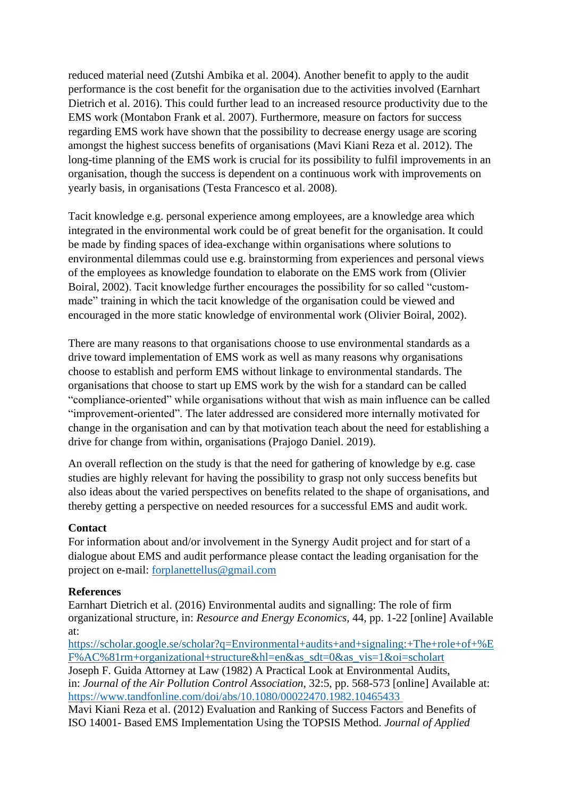reduced material need (Zutshi Ambika et al. 2004). Another benefit to apply to the audit performance is the cost benefit for the organisation due to the activities involved (Earnhart Dietrich et al. 2016). This could further lead to an increased resource productivity due to the EMS work (Montabon Frank et al. 2007). Furthermore, measure on factors for success regarding EMS work have shown that the possibility to decrease energy usage are scoring amongst the highest success benefits of organisations (Mavi Kiani Reza et al. 2012). The long-time planning of the EMS work is crucial for its possibility to fulfil improvements in an organisation, though the success is dependent on a continuous work with improvements on yearly basis, in organisations (Testa Francesco et al. 2008).

Tacit knowledge e.g. personal experience among employees, are a knowledge area which integrated in the environmental work could be of great benefit for the organisation. It could be made by finding spaces of idea-exchange within organisations where solutions to environmental dilemmas could use e.g. brainstorming from experiences and personal views of the employees as knowledge foundation to elaborate on the EMS work from (Olivier Boiral, 2002). Tacit knowledge further encourages the possibility for so called "custommade" training in which the tacit knowledge of the organisation could be viewed and encouraged in the more static knowledge of environmental work (Olivier Boiral, 2002).

There are many reasons to that organisations choose to use environmental standards as a drive toward implementation of EMS work as well as many reasons why organisations choose to establish and perform EMS without linkage to environmental standards. The organisations that choose to start up EMS work by the wish for a standard can be called "compliance-oriented" while organisations without that wish as main influence can be called "improvement-oriented". The later addressed are considered more internally motivated for change in the organisation and can by that motivation teach about the need for establishing a drive for change from within, organisations (Prajogo Daniel. 2019).

An overall reflection on the study is that the need for gathering of knowledge by e.g. case studies are highly relevant for having the possibility to grasp not only success benefits but also ideas about the varied perspectives on benefits related to the shape of organisations, and thereby getting a perspective on needed resources for a successful EMS and audit work.

### **Contact**

For information about and/or involvement in the Synergy Audit project and for start of a dialogue about EMS and audit performance please contact the leading organisation for the project on e-mail: [forplanettellus@gmail.com](mailto:forplanettellus@gmail.com)

#### **References**

Earnhart Dietrich et al. (2016) Environmental audits and signalling: The role of firm organizational structure, in: *Resource and Energy Economics*, 44, pp. 1-22 [online] Available at:

[https://scholar.google.se/scholar?q=Environmental+audits+and+signaling:+The+role+of+%E](https://scholar.google.se/scholar?q=Environmental+audits+and+signaling:+The+role+of+%EF%AC%81rm+organizational+structure&hl=en&as_sdt=0&as_vis=1&oi=scholart) [F%AC%81rm+organizational+structure&hl=en&as\\_sdt=0&as\\_vis=1&oi=scholart](https://scholar.google.se/scholar?q=Environmental+audits+and+signaling:+The+role+of+%EF%AC%81rm+organizational+structure&hl=en&as_sdt=0&as_vis=1&oi=scholart)

Joseph F. Guida Attorney at Law (1982) A Practical Look at Environmental Audits, in: *Journal of the Air Pollution Control Association*, 32:5, pp. 568-573 [online] Available at: <https://www.tandfonline.com/doi/abs/10.1080/00022470.1982.10465433>

Mavi Kiani Reza et al. (2012) Evaluation and Ranking of Success Factors and Benefits of ISO 14001- Based EMS Implementation Using the TOPSIS Method. *Journal of Applied*